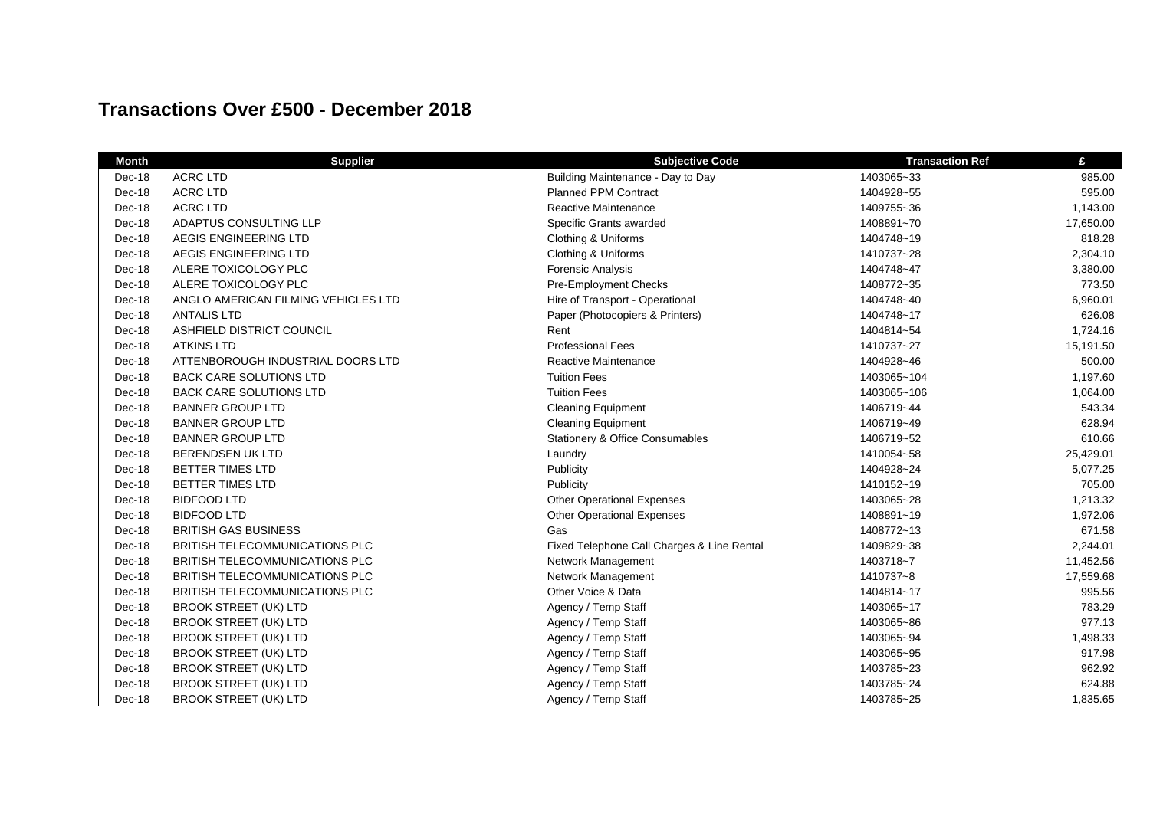## **Transactions Over £500 - December 2018**

| <b>Month</b> | <b>Supplier</b>                       | <b>Subjective Code</b>                     | <b>Transaction Ref</b> | £         |
|--------------|---------------------------------------|--------------------------------------------|------------------------|-----------|
| Dec-18       | <b>ACRC LTD</b>                       | Building Maintenance - Day to Day          | 1403065~33             | 985.00    |
| Dec-18       | <b>ACRC LTD</b>                       | <b>Planned PPM Contract</b>                | 1404928~55             | 595.00    |
| Dec-18       | <b>ACRC LTD</b>                       | Reactive Maintenance                       | 1409755~36             | 1,143.00  |
| Dec-18       | ADAPTUS CONSULTING LLP                | Specific Grants awarded                    | 1408891~70             | 17,650.00 |
| Dec-18       | AEGIS ENGINEERING LTD                 | Clothing & Uniforms                        | 1404748~19             | 818.28    |
| Dec-18       | AEGIS ENGINEERING LTD                 | Clothing & Uniforms                        | 1410737~28             | 2,304.10  |
| Dec-18       | ALERE TOXICOLOGY PLC                  | <b>Forensic Analysis</b>                   | 1404748~47             | 3,380.00  |
| Dec-18       | ALERE TOXICOLOGY PLC                  | Pre-Employment Checks                      | 1408772~35             | 773.50    |
| Dec-18       | ANGLO AMERICAN FILMING VEHICLES LTD   | Hire of Transport - Operational            | 1404748~40             | 6,960.01  |
| Dec-18       | <b>ANTALIS LTD</b>                    | Paper (Photocopiers & Printers)            | 1404748~17             | 626.08    |
| Dec-18       | ASHFIELD DISTRICT COUNCIL             | Rent                                       | 1404814~54             | 1,724.16  |
| Dec-18       | <b>ATKINS LTD</b>                     | <b>Professional Fees</b>                   | 1410737~27             | 15,191.50 |
| Dec-18       | ATTENBOROUGH INDUSTRIAL DOORS LTD     | Reactive Maintenance                       | 1404928~46             | 500.00    |
| Dec-18       | <b>BACK CARE SOLUTIONS LTD</b>        | <b>Tuition Fees</b>                        | 1403065~104            | 1,197.60  |
| Dec-18       | <b>BACK CARE SOLUTIONS LTD</b>        | <b>Tuition Fees</b>                        | 1403065~106            | 1,064.00  |
| Dec-18       | <b>BANNER GROUP LTD</b>               | <b>Cleaning Equipment</b>                  | 1406719~44             | 543.34    |
| Dec-18       | <b>BANNER GROUP LTD</b>               | <b>Cleaning Equipment</b>                  | 1406719~49             | 628.94    |
| Dec-18       | <b>BANNER GROUP LTD</b>               | Stationery & Office Consumables            | 1406719~52             | 610.66    |
| Dec-18       | <b>BERENDSEN UK LTD</b>               | Laundry                                    | 1410054~58             | 25,429.01 |
| Dec-18       | <b>BETTER TIMES LTD</b>               | Publicity                                  | 1404928~24             | 5,077.25  |
| Dec-18       | <b>BETTER TIMES LTD</b>               | Publicity                                  | 1410152~19             | 705.00    |
| Dec-18       | <b>BIDFOOD LTD</b>                    | <b>Other Operational Expenses</b>          | 1403065~28             | 1,213.32  |
| Dec-18       | <b>BIDFOOD LTD</b>                    | <b>Other Operational Expenses</b>          | 1408891~19             | 1,972.06  |
| Dec-18       | <b>BRITISH GAS BUSINESS</b>           | Gas                                        | 1408772~13             | 671.58    |
| Dec-18       | <b>BRITISH TELECOMMUNICATIONS PLC</b> | Fixed Telephone Call Charges & Line Rental | 1409829~38             | 2,244.01  |
| Dec-18       | <b>BRITISH TELECOMMUNICATIONS PLC</b> | Network Management                         | 1403718~7              | 11,452.56 |
| Dec-18       | <b>BRITISH TELECOMMUNICATIONS PLC</b> | Network Management                         | 1410737~8              | 17,559.68 |
| Dec-18       | BRITISH TELECOMMUNICATIONS PLC        | Other Voice & Data                         | 1404814~17             | 995.56    |
| Dec-18       | <b>BROOK STREET (UK) LTD</b>          | Agency / Temp Staff                        | 1403065~17             | 783.29    |
| Dec-18       | <b>BROOK STREET (UK) LTD</b>          | Agency / Temp Staff                        | 1403065~86             | 977.13    |
| Dec-18       | <b>BROOK STREET (UK) LTD</b>          | Agency / Temp Staff                        | 1403065~94             | 1,498.33  |
| Dec-18       | <b>BROOK STREET (UK) LTD</b>          | Agency / Temp Staff                        | 1403065~95             | 917.98    |
| Dec-18       | <b>BROOK STREET (UK) LTD</b>          | Agency / Temp Staff                        | 1403785~23             | 962.92    |
| Dec-18       | <b>BROOK STREET (UK) LTD</b>          | Agency / Temp Staff                        | 1403785~24             | 624.88    |
| Dec-18       | <b>BROOK STREET (UK) LTD</b>          | Agency / Temp Staff                        | 1403785~25             | 1,835.65  |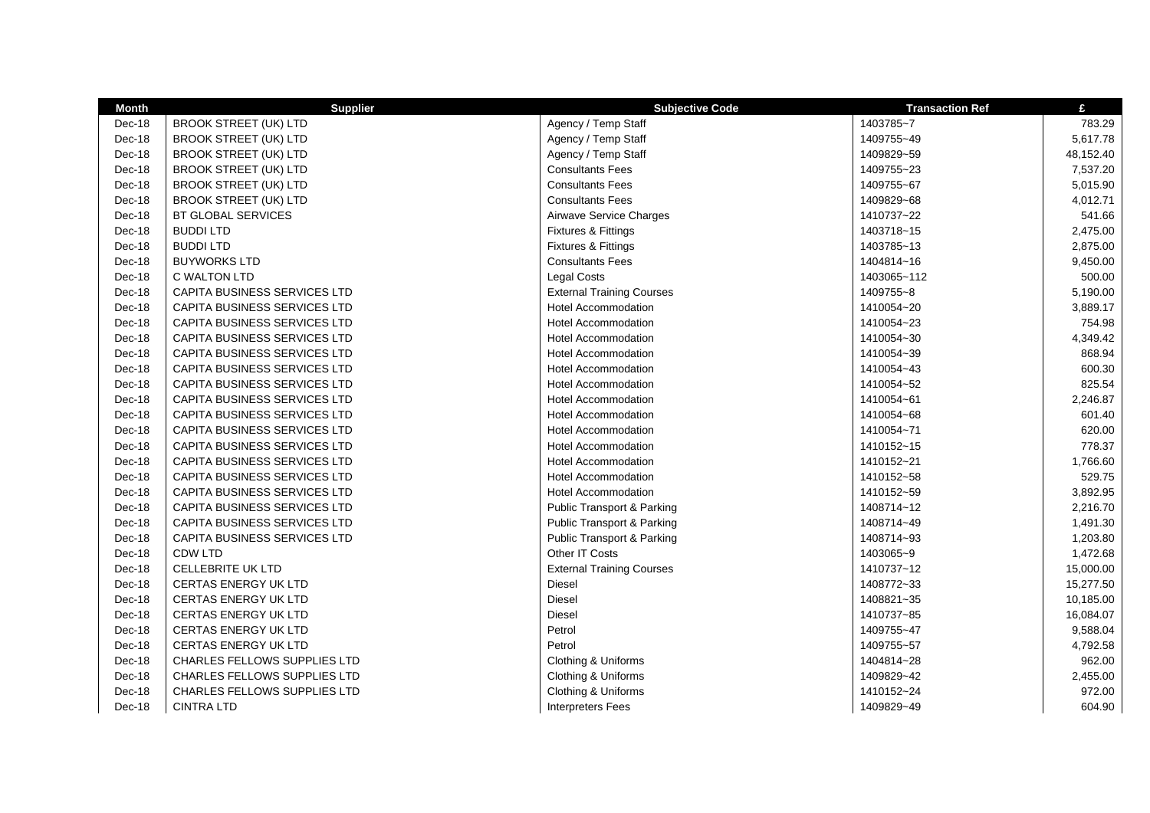| <b>Month</b> | <b>Supplier</b>                     | <b>Subjective Code</b>                | <b>Transaction Ref</b> | £         |
|--------------|-------------------------------------|---------------------------------------|------------------------|-----------|
| Dec-18       | <b>BROOK STREET (UK) LTD</b>        | Agency / Temp Staff                   | 1403785~7              | 783.29    |
| Dec-18       | <b>BROOK STREET (UK) LTD</b>        | Agency / Temp Staff                   | 1409755~49             | 5,617.78  |
| Dec-18       | <b>BROOK STREET (UK) LTD</b>        | Agency / Temp Staff                   | 1409829~59             | 48,152.40 |
| Dec-18       | <b>BROOK STREET (UK) LTD</b>        | <b>Consultants Fees</b>               | 1409755~23             | 7,537.20  |
| Dec-18       | <b>BROOK STREET (UK) LTD</b>        | <b>Consultants Fees</b>               | 1409755~67             | 5,015.90  |
| Dec-18       | <b>BROOK STREET (UK) LTD</b>        | <b>Consultants Fees</b>               | 1409829~68             | 4,012.71  |
| Dec-18       | BT GLOBAL SERVICES                  | Airwave Service Charges               | 1410737~22             | 541.66    |
| Dec-18       | <b>BUDDI LTD</b>                    | Fixtures & Fittings                   | 1403718~15             | 2,475.00  |
| Dec-18       | <b>BUDDI LTD</b>                    | Fixtures & Fittings                   | 1403785~13             | 2,875.00  |
| Dec-18       | <b>BUYWORKS LTD</b>                 | <b>Consultants Fees</b>               | 1404814~16             | 9,450.00  |
| Dec-18       | C WALTON LTD                        | Legal Costs                           | 1403065~112            | 500.00    |
| Dec-18       | <b>CAPITA BUSINESS SERVICES LTD</b> | <b>External Training Courses</b>      | 1409755~8              | 5,190.00  |
| Dec-18       | <b>CAPITA BUSINESS SERVICES LTD</b> | <b>Hotel Accommodation</b>            | 1410054~20             | 3,889.17  |
| Dec-18       | <b>CAPITA BUSINESS SERVICES LTD</b> | <b>Hotel Accommodation</b>            | 1410054~23             | 754.98    |
| Dec-18       | <b>CAPITA BUSINESS SERVICES LTD</b> | <b>Hotel Accommodation</b>            | 1410054~30             | 4,349.42  |
| Dec-18       | <b>CAPITA BUSINESS SERVICES LTD</b> | <b>Hotel Accommodation</b>            | 1410054~39             | 868.94    |
| Dec-18       | <b>CAPITA BUSINESS SERVICES LTD</b> | <b>Hotel Accommodation</b>            | 1410054~43             | 600.30    |
| Dec-18       | CAPITA BUSINESS SERVICES LTD        | <b>Hotel Accommodation</b>            | 1410054~52             | 825.54    |
| Dec-18       | <b>CAPITA BUSINESS SERVICES LTD</b> | <b>Hotel Accommodation</b>            | 1410054~61             | 2,246.87  |
| Dec-18       | <b>CAPITA BUSINESS SERVICES LTD</b> | <b>Hotel Accommodation</b>            | 1410054~68             | 601.40    |
| Dec-18       | CAPITA BUSINESS SERVICES LTD        | <b>Hotel Accommodation</b>            | 1410054~71             | 620.00    |
| Dec-18       | <b>CAPITA BUSINESS SERVICES LTD</b> | <b>Hotel Accommodation</b>            | 1410152~15             | 778.37    |
| Dec-18       | <b>CAPITA BUSINESS SERVICES LTD</b> | Hotel Accommodation                   | 1410152~21             | 1,766.60  |
| Dec-18       | <b>CAPITA BUSINESS SERVICES LTD</b> | <b>Hotel Accommodation</b>            | 1410152~58             | 529.75    |
| Dec-18       | <b>CAPITA BUSINESS SERVICES LTD</b> | <b>Hotel Accommodation</b>            | 1410152~59             | 3,892.95  |
| Dec-18       | CAPITA BUSINESS SERVICES LTD        | <b>Public Transport &amp; Parking</b> | 1408714~12             | 2,216.70  |
| Dec-18       | CAPITA BUSINESS SERVICES LTD        | <b>Public Transport &amp; Parking</b> | 1408714~49             | 1,491.30  |
| Dec-18       | <b>CAPITA BUSINESS SERVICES LTD</b> | Public Transport & Parking            | 1408714~93             | 1,203.80  |
| Dec-18       | <b>CDW LTD</b>                      | Other IT Costs                        | 1403065~9              | 1,472.68  |
| Dec-18       | <b>CELLEBRITE UK LTD</b>            | <b>External Training Courses</b>      | 1410737~12             | 15,000.00 |
| Dec-18       | <b>CERTAS ENERGY UK LTD</b>         | <b>Diesel</b>                         | 1408772~33             | 15,277.50 |
| Dec-18       | <b>CERTAS ENERGY UK LTD</b>         | <b>Diesel</b>                         | 1408821~35             | 10,185.00 |
| Dec-18       | <b>CERTAS ENERGY UK LTD</b>         | <b>Diesel</b>                         | 1410737~85             | 16,084.07 |
| Dec-18       | CERTAS ENERGY UK LTD                | Petrol                                | 1409755~47             | 9,588.04  |
| Dec-18       | <b>CERTAS ENERGY UK LTD</b>         | Petrol                                | 1409755~57             | 4,792.58  |
| Dec-18       | CHARLES FELLOWS SUPPLIES LTD        | Clothing & Uniforms                   | 1404814~28             | 962.00    |
| Dec-18       | <b>CHARLES FELLOWS SUPPLIES LTD</b> | Clothing & Uniforms                   | 1409829~42             | 2,455.00  |
| Dec-18       | CHARLES FELLOWS SUPPLIES LTD        | Clothing & Uniforms                   | 1410152~24             | 972.00    |
| Dec-18       | <b>CINTRA LTD</b>                   | <b>Interpreters Fees</b>              | 1409829~49             | 604.90    |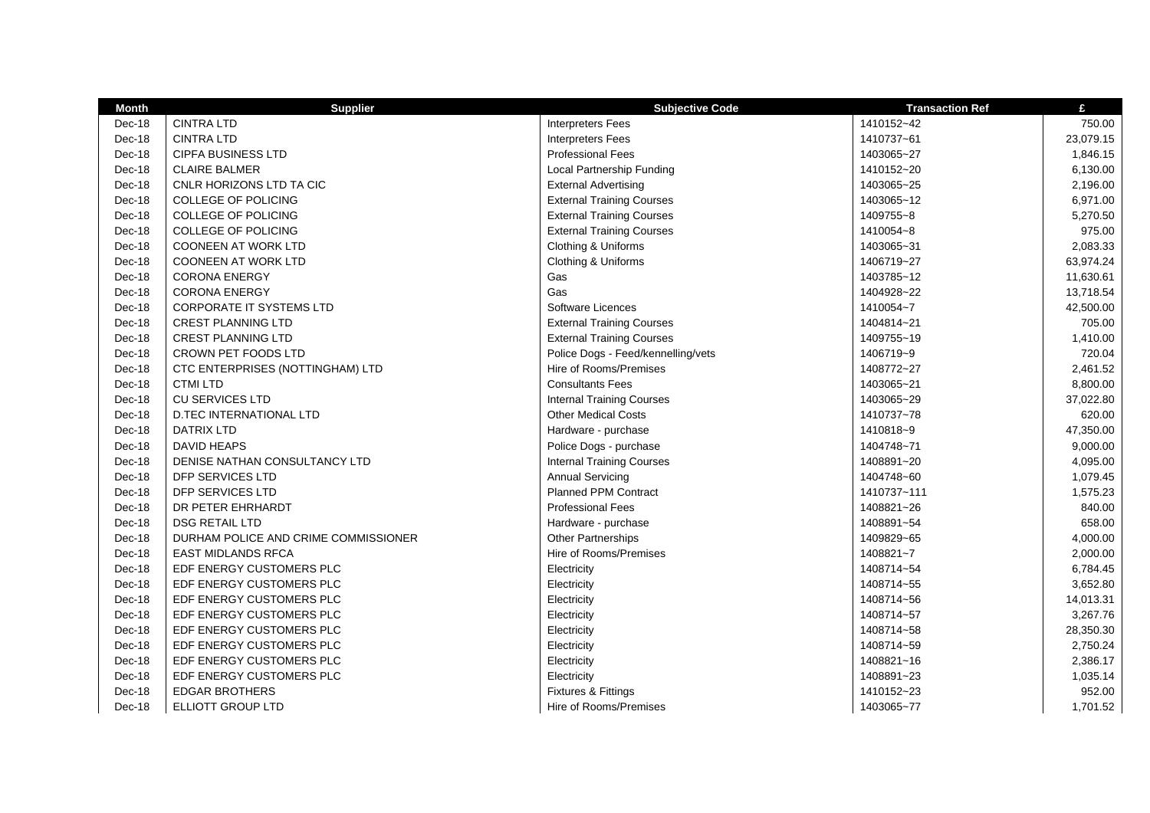| <b>Month</b> | <b>Supplier</b>                      | <b>Subjective Code</b>             | <b>Transaction Ref</b> | £         |
|--------------|--------------------------------------|------------------------------------|------------------------|-----------|
| Dec-18       | <b>CINTRA LTD</b>                    | <b>Interpreters Fees</b>           | 1410152~42             | 750.00    |
| Dec-18       | <b>CINTRA LTD</b>                    | <b>Interpreters Fees</b>           | 1410737~61             | 23,079.15 |
| Dec-18       | <b>CIPFA BUSINESS LTD</b>            | <b>Professional Fees</b>           | 1403065~27             | 1,846.15  |
| Dec-18       | <b>CLAIRE BALMER</b>                 | Local Partnership Funding          | 1410152~20             | 6,130.00  |
| Dec-18       | CNLR HORIZONS LTD TA CIC             | <b>External Advertising</b>        | 1403065~25             | 2,196.00  |
| Dec-18       | <b>COLLEGE OF POLICING</b>           | <b>External Training Courses</b>   | 1403065~12             | 6,971.00  |
| Dec-18       | COLLEGE OF POLICING                  | <b>External Training Courses</b>   | 1409755~8              | 5,270.50  |
| Dec-18       | COLLEGE OF POLICING                  | <b>External Training Courses</b>   | 1410054~8              | 975.00    |
| Dec-18       | <b>COONEEN AT WORK LTD</b>           | Clothing & Uniforms                | 1403065~31             | 2,083.33  |
| Dec-18       | COONEEN AT WORK LTD                  | Clothing & Uniforms                | 1406719~27             | 63,974.24 |
| Dec-18       | <b>CORONA ENERGY</b>                 | Gas                                | 1403785~12             | 11,630.61 |
| Dec-18       | <b>CORONA ENERGY</b>                 | Gas                                | 1404928~22             | 13,718.54 |
| Dec-18       | <b>CORPORATE IT SYSTEMS LTD</b>      | Software Licences                  | 1410054~7              | 42,500.00 |
| Dec-18       | <b>CREST PLANNING LTD</b>            | <b>External Training Courses</b>   | 1404814~21             | 705.00    |
| Dec-18       | <b>CREST PLANNING LTD</b>            | <b>External Training Courses</b>   | 1409755~19             | 1,410.00  |
| Dec-18       | CROWN PET FOODS LTD                  | Police Dogs - Feed/kennelling/vets | 1406719~9              | 720.04    |
| Dec-18       | CTC ENTERPRISES (NOTTINGHAM) LTD     | Hire of Rooms/Premises             | 1408772~27             | 2,461.52  |
| Dec-18       | <b>CTMI LTD</b>                      | <b>Consultants Fees</b>            | 1403065~21             | 8,800.00  |
| Dec-18       | <b>CU SERVICES LTD</b>               | <b>Internal Training Courses</b>   | 1403065~29             | 37,022.80 |
| Dec-18       | <b>D.TEC INTERNATIONAL LTD</b>       | <b>Other Medical Costs</b>         | 1410737~78             | 620.00    |
| Dec-18       | <b>DATRIX LTD</b>                    | Hardware - purchase                | 1410818~9              | 47,350.00 |
| Dec-18       | <b>DAVID HEAPS</b>                   | Police Dogs - purchase             | 1404748~71             | 9,000.00  |
| Dec-18       | DENISE NATHAN CONSULTANCY LTD        | <b>Internal Training Courses</b>   | 1408891~20             | 4,095.00  |
| Dec-18       | DFP SERVICES LTD                     | <b>Annual Servicing</b>            | 1404748~60             | 1,079.45  |
| Dec-18       | DFP SERVICES LTD                     | <b>Planned PPM Contract</b>        | 1410737~111            | 1,575.23  |
| Dec-18       | DR PETER EHRHARDT                    | <b>Professional Fees</b>           | 1408821~26             | 840.00    |
| Dec-18       | <b>DSG RETAIL LTD</b>                | Hardware - purchase                | 1408891~54             | 658.00    |
| Dec-18       | DURHAM POLICE AND CRIME COMMISSIONER | Other Partnerships                 | 1409829~65             | 4,000.00  |
| Dec-18       | <b>EAST MIDLANDS RFCA</b>            | Hire of Rooms/Premises             | 1408821~7              | 2,000.00  |
| Dec-18       | EDF ENERGY CUSTOMERS PLC             | Electricity                        | 1408714~54             | 6,784.45  |
| Dec-18       | EDF ENERGY CUSTOMERS PLC             | Electricity                        | 1408714~55             | 3,652.80  |
| Dec-18       | EDF ENERGY CUSTOMERS PLC             | Electricity                        | 1408714~56             | 14,013.31 |
| Dec-18       | EDF ENERGY CUSTOMERS PLC             | Electricity                        | 1408714~57             | 3,267.76  |
| Dec-18       | EDF ENERGY CUSTOMERS PLC             | Electricity                        | 1408714~58             | 28,350.30 |
| Dec-18       | EDF ENERGY CUSTOMERS PLC             | Electricity                        | 1408714~59             | 2,750.24  |
| Dec-18       | EDF ENERGY CUSTOMERS PLC             | Electricity                        | 1408821~16             | 2,386.17  |
| Dec-18       | EDF ENERGY CUSTOMERS PLC             | Electricity                        | 1408891~23             | 1,035.14  |
| Dec-18       | <b>EDGAR BROTHERS</b>                | <b>Fixtures &amp; Fittings</b>     | 1410152~23             | 952.00    |
| Dec-18       | <b>ELLIOTT GROUP LTD</b>             | Hire of Rooms/Premises             | 1403065~77             | 1,701.52  |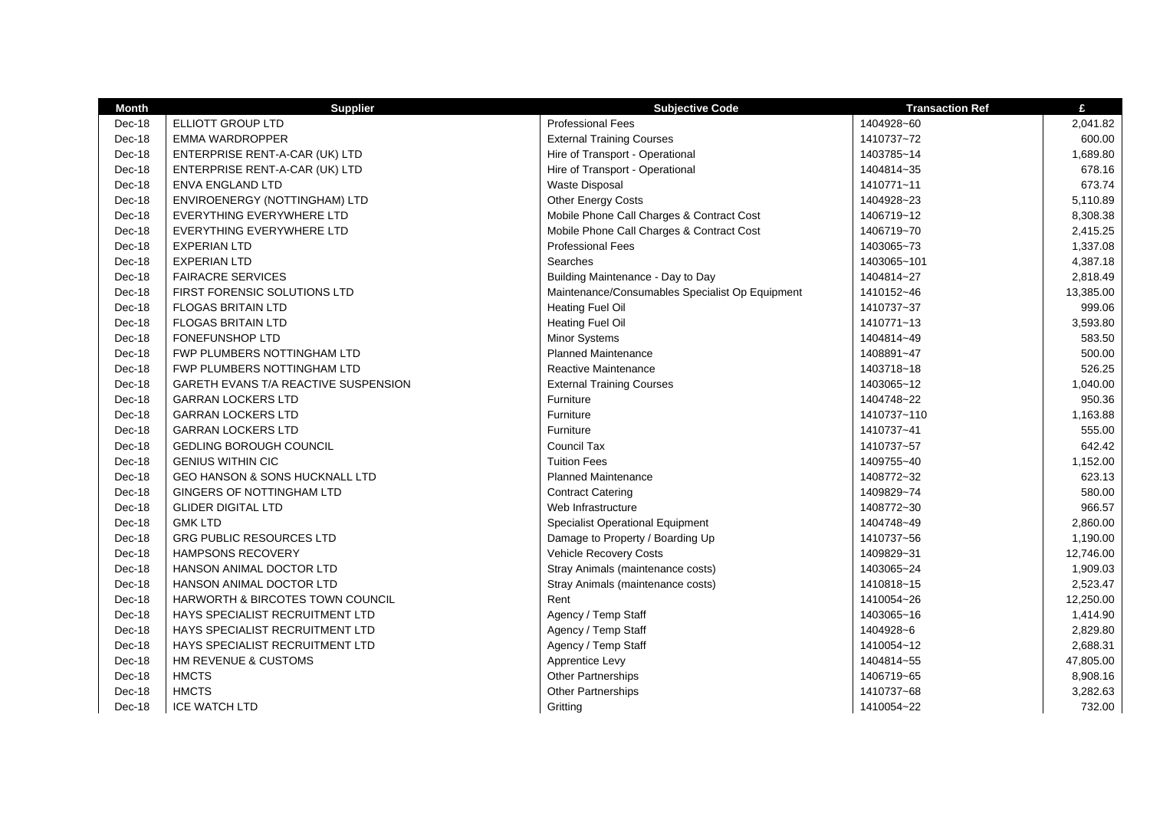| <b>Month</b> | <b>Supplier</b>                           | <b>Subjective Code</b>                          | <b>Transaction Ref</b> | £         |
|--------------|-------------------------------------------|-------------------------------------------------|------------------------|-----------|
| Dec-18       | ELLIOTT GROUP LTD                         | <b>Professional Fees</b>                        | 1404928~60             | 2,041.82  |
| Dec-18       | <b>EMMA WARDROPPER</b>                    | <b>External Training Courses</b>                | 1410737~72             | 600.00    |
| Dec-18       | ENTERPRISE RENT-A-CAR (UK) LTD            | Hire of Transport - Operational                 | 1403785~14             | 1,689.80  |
| Dec-18       | ENTERPRISE RENT-A-CAR (UK) LTD            | Hire of Transport - Operational                 | 1404814~35             | 678.16    |
| Dec-18       | <b>ENVA ENGLAND LTD</b>                   | <b>Waste Disposal</b>                           | 1410771~11             | 673.74    |
| Dec-18       | ENVIROENERGY (NOTTINGHAM) LTD             | Other Energy Costs                              | 1404928~23             | 5,110.89  |
| Dec-18       | <b>EVERYTHING EVERYWHERE LTD</b>          | Mobile Phone Call Charges & Contract Cost       | 1406719~12             | 8,308.38  |
| Dec-18       | <b>EVERYTHING EVERYWHERE LTD</b>          | Mobile Phone Call Charges & Contract Cost       | 1406719~70             | 2,415.25  |
| Dec-18       | <b>EXPERIAN LTD</b>                       | <b>Professional Fees</b>                        | 1403065~73             | 1,337.08  |
| Dec-18       | <b>EXPERIAN LTD</b>                       | Searches                                        | 1403065~101            | 4,387.18  |
| Dec-18       | <b>FAIRACRE SERVICES</b>                  | Building Maintenance - Day to Day               | 1404814~27             | 2,818.49  |
| Dec-18       | FIRST FORENSIC SOLUTIONS LTD              | Maintenance/Consumables Specialist Op Equipment | 1410152~46             | 13,385.00 |
| Dec-18       | <b>FLOGAS BRITAIN LTD</b>                 | <b>Heating Fuel Oil</b>                         | 1410737~37             | 999.06    |
| Dec-18       | <b>FLOGAS BRITAIN LTD</b>                 | <b>Heating Fuel Oil</b>                         | 1410771~13             | 3,593.80  |
| Dec-18       | <b>FONEFUNSHOP LTD</b>                    | Minor Systems                                   | 1404814~49             | 583.50    |
| Dec-18       | <b>FWP PLUMBERS NOTTINGHAM LTD</b>        | <b>Planned Maintenance</b>                      | 1408891~47             | 500.00    |
| $Dec-18$     | FWP PLUMBERS NOTTINGHAM LTD               | Reactive Maintenance                            | 1403718~18             | 526.25    |
| Dec-18       | GARETH EVANS T/A REACTIVE SUSPENSION      | <b>External Training Courses</b>                | 1403065~12             | 1,040.00  |
| Dec-18       | <b>GARRAN LOCKERS LTD</b>                 | Furniture                                       | 1404748~22             | 950.36    |
| Dec-18       | <b>GARRAN LOCKERS LTD</b>                 | Furniture                                       | 1410737~110            | 1,163.88  |
| Dec-18       | <b>GARRAN LOCKERS LTD</b>                 | Furniture                                       | 1410737~41             | 555.00    |
| Dec-18       | <b>GEDLING BOROUGH COUNCIL</b>            | Council Tax                                     | 1410737~57             | 642.42    |
| Dec-18       | <b>GENIUS WITHIN CIC</b>                  | <b>Tuition Fees</b>                             | 1409755~40             | 1,152.00  |
| Dec-18       | <b>GEO HANSON &amp; SONS HUCKNALL LTD</b> | <b>Planned Maintenance</b>                      | 1408772~32             | 623.13    |
| Dec-18       | GINGERS OF NOTTINGHAM LTD                 | <b>Contract Catering</b>                        | 1409829~74             | 580.00    |
| Dec-18       | <b>GLIDER DIGITAL LTD</b>                 | Web Infrastructure                              | 1408772~30             | 966.57    |
| Dec-18       | <b>GMK LTD</b>                            | <b>Specialist Operational Equipment</b>         | 1404748~49             | 2,860.00  |
| Dec-18       | <b>GRG PUBLIC RESOURCES LTD</b>           | Damage to Property / Boarding Up                | 1410737~56             | 1,190.00  |
| Dec-18       | <b>HAMPSONS RECOVERY</b>                  | Vehicle Recovery Costs                          | 1409829~31             | 12,746.00 |
| Dec-18       | HANSON ANIMAL DOCTOR LTD                  | Stray Animals (maintenance costs)               | 1403065~24             | 1,909.03  |
| Dec-18       | HANSON ANIMAL DOCTOR LTD                  | Stray Animals (maintenance costs)               | 1410818~15             | 2,523.47  |
| Dec-18       | HARWORTH & BIRCOTES TOWN COUNCIL          | Rent                                            | 1410054~26             | 12,250.00 |
| Dec-18       | HAYS SPECIALIST RECRUITMENT LTD           | Agency / Temp Staff                             | 1403065~16             | 1,414.90  |
| Dec-18       | HAYS SPECIALIST RECRUITMENT LTD           | Agency / Temp Staff                             | 1404928~6              | 2,829.80  |
| Dec-18       | HAYS SPECIALIST RECRUITMENT LTD           | Agency / Temp Staff                             | 1410054~12             | 2,688.31  |
| Dec-18       | HM REVENUE & CUSTOMS                      | Apprentice Levy                                 | 1404814~55             | 47,805.00 |
| Dec-18       | <b>HMCTS</b>                              | <b>Other Partnerships</b>                       | 1406719~65             | 8,908.16  |
| Dec-18       | <b>HMCTS</b>                              | <b>Other Partnerships</b>                       | 1410737~68             | 3,282.63  |
| Dec-18       | <b>ICE WATCH LTD</b>                      | Gritting                                        | 1410054~22             | 732.00    |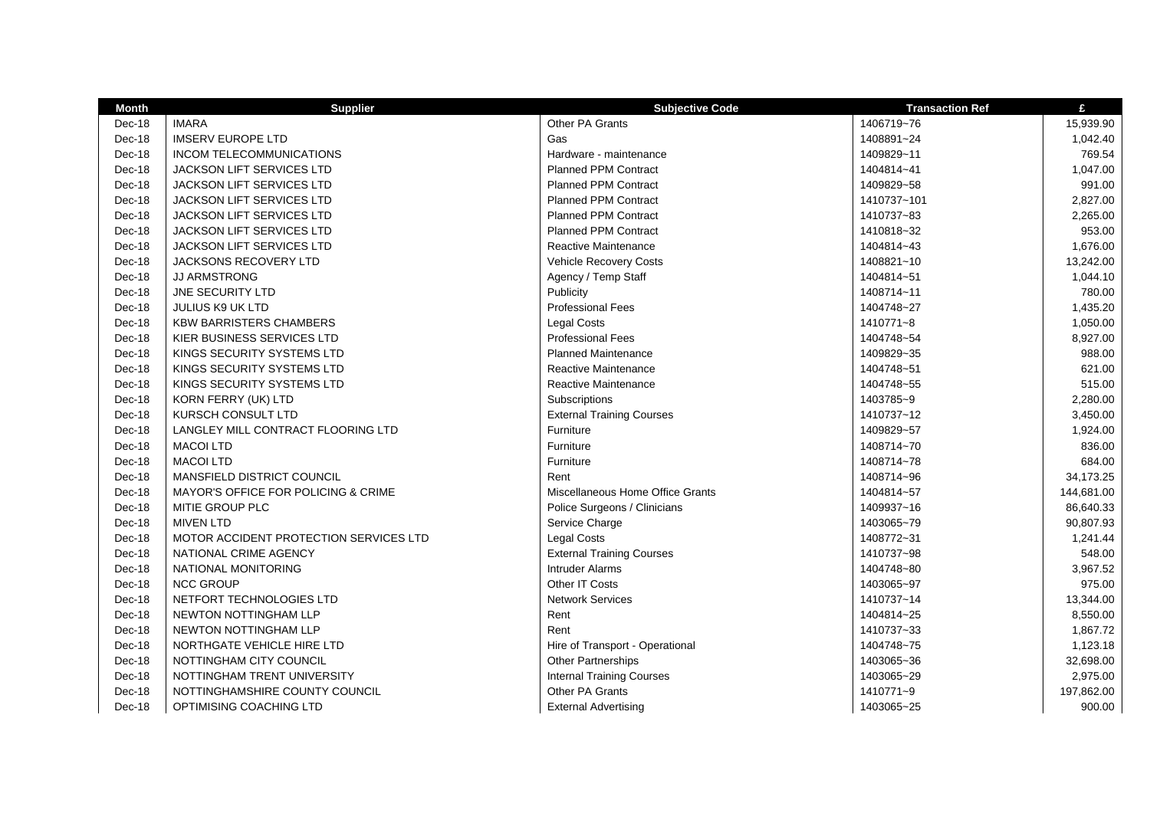| <b>Month</b> | <b>Supplier</b>                        | <b>Subjective Code</b>           | <b>Transaction Ref</b> | £          |
|--------------|----------------------------------------|----------------------------------|------------------------|------------|
| Dec-18       | <b>IMARA</b>                           | Other PA Grants                  | 1406719~76             | 15,939.90  |
| Dec-18       | <b>IMSERV EUROPE LTD</b>               | Gas                              | 1408891~24             | 1,042.40   |
| Dec-18       | INCOM TELECOMMUNICATIONS               | Hardware - maintenance           | 1409829~11             | 769.54     |
| Dec-18       | <b>JACKSON LIFT SERVICES LTD</b>       | <b>Planned PPM Contract</b>      | 1404814~41             | 1,047.00   |
| Dec-18       | JACKSON LIFT SERVICES LTD              | <b>Planned PPM Contract</b>      | 1409829~58             | 991.00     |
| Dec-18       | JACKSON LIFT SERVICES LTD              | <b>Planned PPM Contract</b>      | 1410737~101            | 2,827.00   |
| Dec-18       | <b>JACKSON LIFT SERVICES LTD</b>       | <b>Planned PPM Contract</b>      | 1410737~83             | 2,265.00   |
| Dec-18       | <b>JACKSON LIFT SERVICES LTD</b>       | <b>Planned PPM Contract</b>      | 1410818~32             | 953.00     |
| Dec-18       | JACKSON LIFT SERVICES LTD              | <b>Reactive Maintenance</b>      | 1404814~43             | 1,676.00   |
| Dec-18       | JACKSONS RECOVERY LTD                  | <b>Vehicle Recovery Costs</b>    | 1408821~10             | 13,242.00  |
| Dec-18       | <b>JJ ARMSTRONG</b>                    | Agency / Temp Staff              | 1404814~51             | 1,044.10   |
| Dec-18       | JNE SECURITY LTD                       | Publicity                        | 1408714~11             | 780.00     |
| Dec-18       | <b>JULIUS K9 UK LTD</b>                | <b>Professional Fees</b>         | 1404748~27             | 1,435.20   |
| Dec-18       | <b>KBW BARRISTERS CHAMBERS</b>         | <b>Legal Costs</b>               | 1410771~8              | 1,050.00   |
| Dec-18       | KIER BUSINESS SERVICES LTD             | <b>Professional Fees</b>         | 1404748~54             | 8,927.00   |
| Dec-18       | KINGS SECURITY SYSTEMS LTD             | <b>Planned Maintenance</b>       | 1409829~35             | 988.00     |
| Dec-18       | KINGS SECURITY SYSTEMS LTD             | Reactive Maintenance             | 1404748~51             | 621.00     |
| Dec-18       | KINGS SECURITY SYSTEMS LTD             | Reactive Maintenance             | 1404748~55             | 515.00     |
| Dec-18       | KORN FERRY (UK) LTD                    | Subscriptions                    | 1403785~9              | 2,280.00   |
| Dec-18       | KURSCH CONSULT LTD                     | <b>External Training Courses</b> | 1410737~12             | 3,450.00   |
| Dec-18       | LANGLEY MILL CONTRACT FLOORING LTD     | Furniture                        | 1409829~57             | 1,924.00   |
| Dec-18       | <b>MACOI LTD</b>                       | Furniture                        | 1408714~70             | 836.00     |
| Dec-18       | <b>MACOI LTD</b>                       | Furniture                        | 1408714~78             | 684.00     |
| Dec-18       | MANSFIELD DISTRICT COUNCIL             | Rent                             | 1408714~96             | 34,173.25  |
| Dec-18       | MAYOR'S OFFICE FOR POLICING & CRIME    | Miscellaneous Home Office Grants | 1404814~57             | 144,681.00 |
| Dec-18       | MITIE GROUP PLC                        | Police Surgeons / Clinicians     | 1409937~16             | 86,640.33  |
| Dec-18       | <b>MIVEN LTD</b>                       | Service Charge                   | 1403065~79             | 90,807.93  |
| Dec-18       | MOTOR ACCIDENT PROTECTION SERVICES LTD | <b>Legal Costs</b>               | 1408772~31             | 1,241.44   |
| Dec-18       | NATIONAL CRIME AGENCY                  | <b>External Training Courses</b> | 1410737~98             | 548.00     |
| Dec-18       | NATIONAL MONITORING                    | <b>Intruder Alarms</b>           | 1404748~80             | 3,967.52   |
| Dec-18       | <b>NCC GROUP</b>                       | Other IT Costs                   | 1403065~97             | 975.00     |
| Dec-18       | NETFORT TECHNOLOGIES LTD               | <b>Network Services</b>          | 1410737~14             | 13,344.00  |
| Dec-18       | NEWTON NOTTINGHAM LLP                  | Rent                             | 1404814~25             | 8,550.00   |
| Dec-18       | <b>NEWTON NOTTINGHAM LLP</b>           | Rent                             | 1410737~33             | 1,867.72   |
| Dec-18       | NORTHGATE VEHICLE HIRE LTD             | Hire of Transport - Operational  | 1404748~75             | 1,123.18   |
| Dec-18       | NOTTINGHAM CITY COUNCIL                | Other Partnerships               | 1403065~36             | 32,698.00  |
| Dec-18       | NOTTINGHAM TRENT UNIVERSITY            | <b>Internal Training Courses</b> | 1403065~29             | 2,975.00   |
| Dec-18       | NOTTINGHAMSHIRE COUNTY COUNCIL         | Other PA Grants                  | 1410771~9              | 197,862.00 |
| Dec-18       | OPTIMISING COACHING LTD                | <b>External Advertising</b>      | 1403065~25             | 900.00     |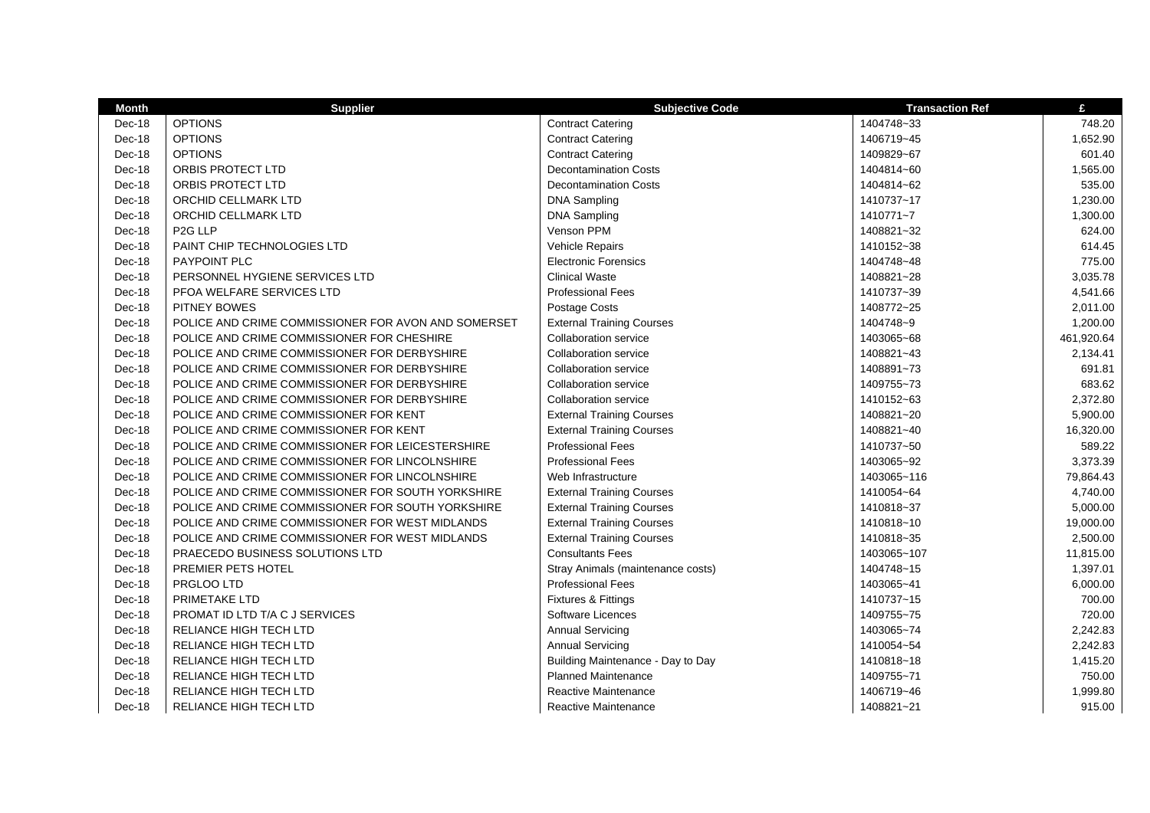| <b>Month</b> | <b>Supplier</b>                                     | <b>Subjective Code</b>            | <b>Transaction Ref</b> | £          |
|--------------|-----------------------------------------------------|-----------------------------------|------------------------|------------|
| Dec-18       | <b>OPTIONS</b>                                      | <b>Contract Catering</b>          | 1404748~33             | 748.20     |
| Dec-18       | <b>OPTIONS</b>                                      | <b>Contract Catering</b>          | 1406719~45             | 1,652.90   |
| Dec-18       | <b>OPTIONS</b>                                      | <b>Contract Catering</b>          | 1409829~67             | 601.40     |
| Dec-18       | ORBIS PROTECT LTD                                   | <b>Decontamination Costs</b>      | 1404814~60             | 1,565.00   |
| Dec-18       | <b>ORBIS PROTECT LTD</b>                            | <b>Decontamination Costs</b>      | 1404814~62             | 535.00     |
| Dec-18       | <b>ORCHID CELLMARK LTD</b>                          | <b>DNA Sampling</b>               | 1410737~17             | 1,230.00   |
| Dec-18       | ORCHID CELLMARK LTD                                 | <b>DNA Sampling</b>               | 1410771~7              | 1,300.00   |
| Dec-18       | P <sub>2G</sub> LLP                                 | Venson PPM                        | 1408821~32             | 624.00     |
| Dec-18       | PAINT CHIP TECHNOLOGIES LTD                         | <b>Vehicle Repairs</b>            | 1410152~38             | 614.45     |
| Dec-18       | PAYPOINT PLC                                        | <b>Electronic Forensics</b>       | 1404748~48             | 775.00     |
| Dec-18       | PERSONNEL HYGIENE SERVICES LTD                      | <b>Clinical Waste</b>             | 1408821~28             | 3,035.78   |
| Dec-18       | PFOA WELFARE SERVICES LTD                           | <b>Professional Fees</b>          | 1410737~39             | 4,541.66   |
| Dec-18       | <b>PITNEY BOWES</b>                                 | Postage Costs                     | 1408772~25             | 2,011.00   |
| Dec-18       | POLICE AND CRIME COMMISSIONER FOR AVON AND SOMERSET | <b>External Training Courses</b>  | 1404748~9              | 1,200.00   |
| Dec-18       | POLICE AND CRIME COMMISSIONER FOR CHESHIRE          | <b>Collaboration service</b>      | 1403065~68             | 461,920.64 |
| Dec-18       | POLICE AND CRIME COMMISSIONER FOR DERBYSHIRE        | <b>Collaboration service</b>      | 1408821~43             | 2,134.41   |
| Dec-18       | POLICE AND CRIME COMMISSIONER FOR DERBYSHIRE        | <b>Collaboration service</b>      | 1408891~73             | 691.81     |
| Dec-18       | POLICE AND CRIME COMMISSIONER FOR DERBYSHIRE        | <b>Collaboration service</b>      | 1409755~73             | 683.62     |
| Dec-18       | POLICE AND CRIME COMMISSIONER FOR DERBYSHIRE        | <b>Collaboration service</b>      | 1410152~63             | 2,372.80   |
| Dec-18       | POLICE AND CRIME COMMISSIONER FOR KENT              | <b>External Training Courses</b>  | 1408821~20             | 5,900.00   |
| Dec-18       | POLICE AND CRIME COMMISSIONER FOR KENT              | <b>External Training Courses</b>  | 1408821~40             | 16,320.00  |
| Dec-18       | POLICE AND CRIME COMMISSIONER FOR LEICESTERSHIRE    | <b>Professional Fees</b>          | 1410737~50             | 589.22     |
| Dec-18       | POLICE AND CRIME COMMISSIONER FOR LINCOLNSHIRE      | <b>Professional Fees</b>          | 1403065~92             | 3,373.39   |
| Dec-18       | POLICE AND CRIME COMMISSIONER FOR LINCOLNSHIRE      | Web Infrastructure                | 1403065~116            | 79,864.43  |
| Dec-18       | POLICE AND CRIME COMMISSIONER FOR SOUTH YORKSHIRE   | <b>External Training Courses</b>  | 1410054~64             | 4,740.00   |
| Dec-18       | POLICE AND CRIME COMMISSIONER FOR SOUTH YORKSHIRE   | <b>External Training Courses</b>  | 1410818~37             | 5,000.00   |
| Dec-18       | POLICE AND CRIME COMMISSIONER FOR WEST MIDLANDS     | <b>External Training Courses</b>  | 1410818~10             | 19,000.00  |
| Dec-18       | POLICE AND CRIME COMMISSIONER FOR WEST MIDLANDS     | <b>External Training Courses</b>  | 1410818~35             | 2,500.00   |
| Dec-18       | PRAECEDO BUSINESS SOLUTIONS LTD                     | <b>Consultants Fees</b>           | 1403065~107            | 11,815.00  |
| Dec-18       | PREMIER PETS HOTEL                                  | Stray Animals (maintenance costs) | 1404748~15             | 1,397.01   |
| Dec-18       | PRGLOO LTD                                          | <b>Professional Fees</b>          | 1403065~41             | 6,000.00   |
| Dec-18       | PRIMETAKE LTD                                       | Fixtures & Fittings               | 1410737~15             | 700.00     |
| Dec-18       | PROMAT ID LTD T/A C J SERVICES                      | Software Licences                 | 1409755~75             | 720.00     |
| Dec-18       | RELIANCE HIGH TECH LTD                              | <b>Annual Servicing</b>           | 1403065~74             | 2,242.83   |
| Dec-18       | <b>RELIANCE HIGH TECH LTD</b>                       | <b>Annual Servicing</b>           | 1410054~54             | 2,242.83   |
| Dec-18       | RELIANCE HIGH TECH LTD                              | Building Maintenance - Day to Day | 1410818~18             | 1,415.20   |
| Dec-18       | RELIANCE HIGH TECH LTD                              | <b>Planned Maintenance</b>        | 1409755~71             | 750.00     |
| Dec-18       | RELIANCE HIGH TECH LTD                              | Reactive Maintenance              | 1406719~46             | 1,999.80   |
| Dec-18       | <b>RELIANCE HIGH TECH LTD</b>                       | Reactive Maintenance              | 1408821~21             | 915.00     |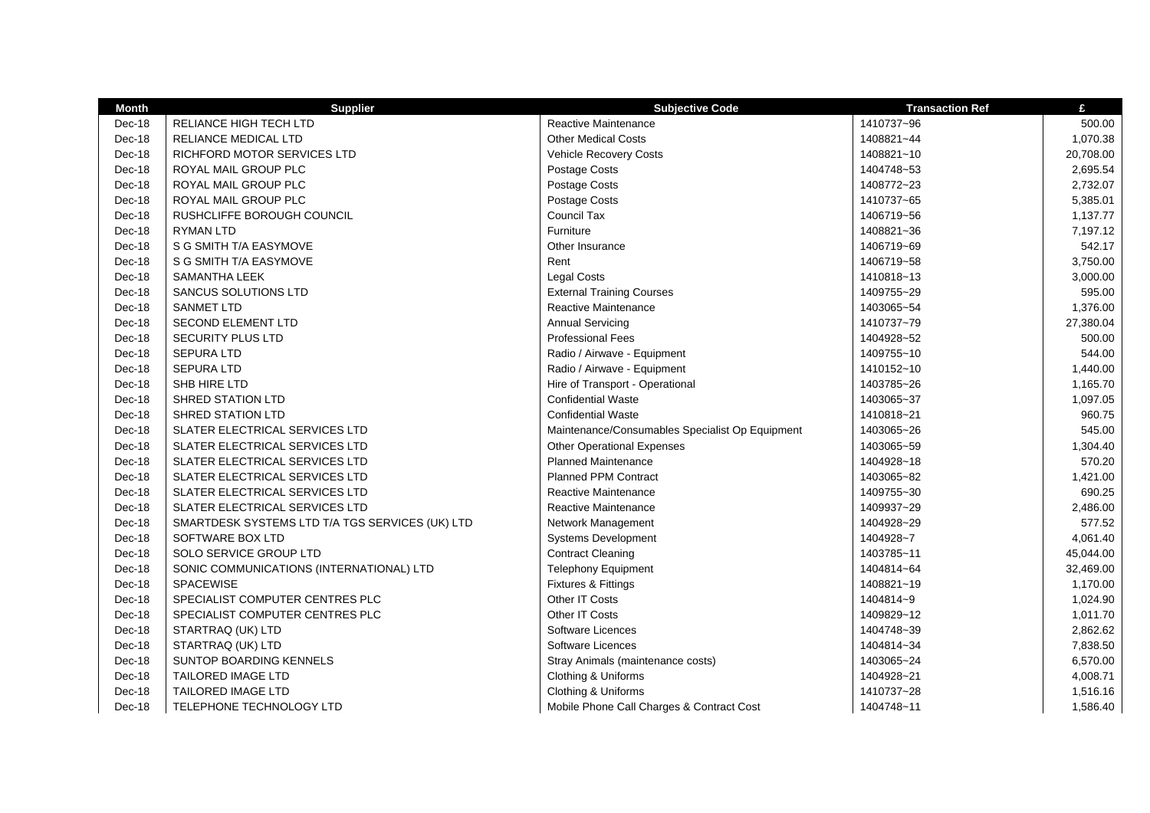| <b>Month</b> | <b>Supplier</b>                                 | <b>Subjective Code</b>                          | <b>Transaction Ref</b> | £         |
|--------------|-------------------------------------------------|-------------------------------------------------|------------------------|-----------|
| Dec-18       | <b>RELIANCE HIGH TECH LTD</b>                   | <b>Reactive Maintenance</b>                     | 1410737~96             | 500.00    |
| Dec-18       | RELIANCE MEDICAL LTD                            | <b>Other Medical Costs</b>                      | 1408821~44             | 1,070.38  |
| Dec-18       | RICHFORD MOTOR SERVICES LTD                     | <b>Vehicle Recovery Costs</b>                   | 1408821~10             | 20,708.00 |
| Dec-18       | ROYAL MAIL GROUP PLC                            | Postage Costs                                   | 1404748~53             | 2,695.54  |
| Dec-18       | ROYAL MAIL GROUP PLC                            | Postage Costs                                   | 1408772~23             | 2,732.07  |
| Dec-18       | ROYAL MAIL GROUP PLC                            | Postage Costs                                   | 1410737~65             | 5,385.01  |
| Dec-18       | RUSHCLIFFE BOROUGH COUNCIL                      | <b>Council Tax</b>                              | 1406719~56             | 1,137.77  |
| Dec-18       | <b>RYMAN LTD</b>                                | Furniture                                       | 1408821~36             | 7,197.12  |
| Dec-18       | S G SMITH T/A EASYMOVE                          | Other Insurance                                 | 1406719~69             | 542.17    |
| Dec-18       | S G SMITH T/A EASYMOVE                          | Rent                                            | 1406719~58             | 3,750.00  |
| Dec-18       | <b>SAMANTHA LEEK</b>                            | <b>Legal Costs</b>                              | 1410818~13             | 3,000.00  |
| Dec-18       | <b>SANCUS SOLUTIONS LTD</b>                     | <b>External Training Courses</b>                | 1409755~29             | 595.00    |
| Dec-18       | <b>SANMET LTD</b>                               | Reactive Maintenance                            | 1403065~54             | 1,376.00  |
| Dec-18       | <b>SECOND ELEMENT LTD</b>                       | <b>Annual Servicing</b>                         | 1410737~79             | 27,380.04 |
| Dec-18       | <b>SECURITY PLUS LTD</b>                        | <b>Professional Fees</b>                        | 1404928~52             | 500.00    |
| Dec-18       | <b>SEPURA LTD</b>                               | Radio / Airwave - Equipment                     | 1409755~10             | 544.00    |
| Dec-18       | <b>SEPURA LTD</b>                               | Radio / Airwave - Equipment                     | 1410152~10             | 1,440.00  |
| Dec-18       | SHB HIRE LTD                                    | Hire of Transport - Operational                 | 1403785~26             | 1,165.70  |
| Dec-18       | <b>SHRED STATION LTD</b>                        | <b>Confidential Waste</b>                       | 1403065~37             | 1,097.05  |
| Dec-18       | <b>SHRED STATION LTD</b>                        | <b>Confidential Waste</b>                       | 1410818~21             | 960.75    |
| Dec-18       | SLATER ELECTRICAL SERVICES LTD                  | Maintenance/Consumables Specialist Op Equipment | 1403065~26             | 545.00    |
| Dec-18       | SLATER ELECTRICAL SERVICES LTD                  | <b>Other Operational Expenses</b>               | 1403065~59             | 1,304.40  |
| Dec-18       | SLATER ELECTRICAL SERVICES LTD                  | <b>Planned Maintenance</b>                      | 1404928~18             | 570.20    |
| Dec-18       | SLATER ELECTRICAL SERVICES LTD                  | <b>Planned PPM Contract</b>                     | 1403065~82             | 1,421.00  |
| Dec-18       | SLATER ELECTRICAL SERVICES LTD                  | Reactive Maintenance                            | 1409755~30             | 690.25    |
| Dec-18       | SLATER ELECTRICAL SERVICES LTD                  | <b>Reactive Maintenance</b>                     | 1409937~29             | 2,486.00  |
| Dec-18       | SMARTDESK SYSTEMS LTD T/A TGS SERVICES (UK) LTD | Network Management                              | 1404928~29             | 577.52    |
| Dec-18       | SOFTWARE BOX LTD                                | <b>Systems Development</b>                      | 1404928~7              | 4,061.40  |
| Dec-18       | SOLO SERVICE GROUP LTD                          | <b>Contract Cleaning</b>                        | 1403785~11             | 45,044.00 |
| Dec-18       | SONIC COMMUNICATIONS (INTERNATIONAL) LTD        | <b>Telephony Equipment</b>                      | 1404814~64             | 32,469.00 |
| Dec-18       | SPACEWISE                                       | Fixtures & Fittings                             | 1408821~19             | 1,170.00  |
| Dec-18       | SPECIALIST COMPUTER CENTRES PLC                 | Other IT Costs                                  | 1404814~9              | 1,024.90  |
| Dec-18       | SPECIALIST COMPUTER CENTRES PLC                 | Other IT Costs                                  | 1409829~12             | 1,011.70  |
| Dec-18       | STARTRAQ (UK) LTD                               | Software Licences                               | 1404748~39             | 2,862.62  |
| Dec-18       | STARTRAQ (UK) LTD                               | Software Licences                               | 1404814~34             | 7,838.50  |
| Dec-18       | SUNTOP BOARDING KENNELS                         | Stray Animals (maintenance costs)               | 1403065~24             | 6,570.00  |
| Dec-18       | TAILORED IMAGE LTD                              | Clothing & Uniforms                             | 1404928~21             | 4,008.71  |
| Dec-18       | TAILORED IMAGE LTD                              | Clothing & Uniforms                             | 1410737~28             | 1,516.16  |
| Dec-18       | TELEPHONE TECHNOLOGY LTD                        | Mobile Phone Call Charges & Contract Cost       | 1404748~11             | 1,586.40  |